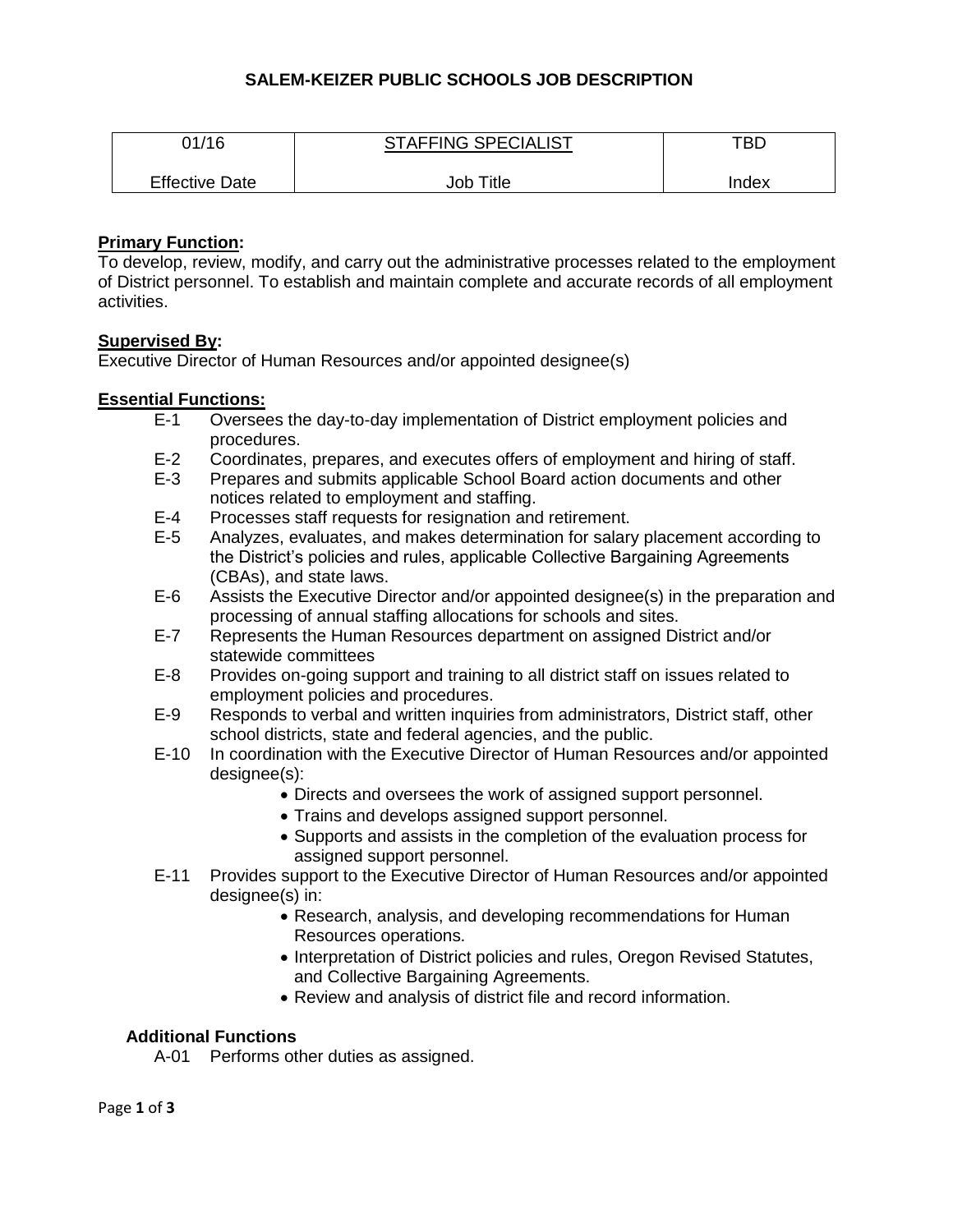## **SALEM-KEIZER PUBLIC SCHOOLS JOB DESCRIPTION**

| 01/16                 | <b>STAFFING SPECIALIST</b> | TBD   |
|-----------------------|----------------------------|-------|
| <b>Effective Date</b> | Job Title                  | Index |

### **Primary Function:**

To develop, review, modify, and carry out the administrative processes related to the employment of District personnel. To establish and maintain complete and accurate records of all employment activities.

### **Supervised By:**

Executive Director of Human Resources and/or appointed designee(s)

### **Essential Functions:**

- E-1 Oversees the day-to-day implementation of District employment policies and procedures.
- E-2 Coordinates, prepares, and executes offers of employment and hiring of staff.
- E-3 Prepares and submits applicable School Board action documents and other notices related to employment and staffing.
- E-4 Processes staff requests for resignation and retirement.
- E-5 Analyzes, evaluates, and makes determination for salary placement according to the District's policies and rules, applicable Collective Bargaining Agreements (CBAs), and state laws.
- E-6 Assists the Executive Director and/or appointed designee(s) in the preparation and processing of annual staffing allocations for schools and sites.
- E-7 Represents the Human Resources department on assigned District and/or statewide committees
- E-8 Provides on-going support and training to all district staff on issues related to employment policies and procedures.
- E-9 Responds to verbal and written inquiries from administrators, District staff, other school districts, state and federal agencies, and the public.
- E-10 In coordination with the Executive Director of Human Resources and/or appointed designee(s):
	- Directs and oversees the work of assigned support personnel.
	- Trains and develops assigned support personnel.
	- Supports and assists in the completion of the evaluation process for assigned support personnel.
- E-11 Provides support to the Executive Director of Human Resources and/or appointed designee(s) in:
	- Research, analysis, and developing recommendations for Human Resources operations.
	- Interpretation of District policies and rules, Oregon Revised Statutes, and Collective Bargaining Agreements.
	- Review and analysis of district file and record information.

# **Additional Functions**

A-01 Performs other duties as assigned.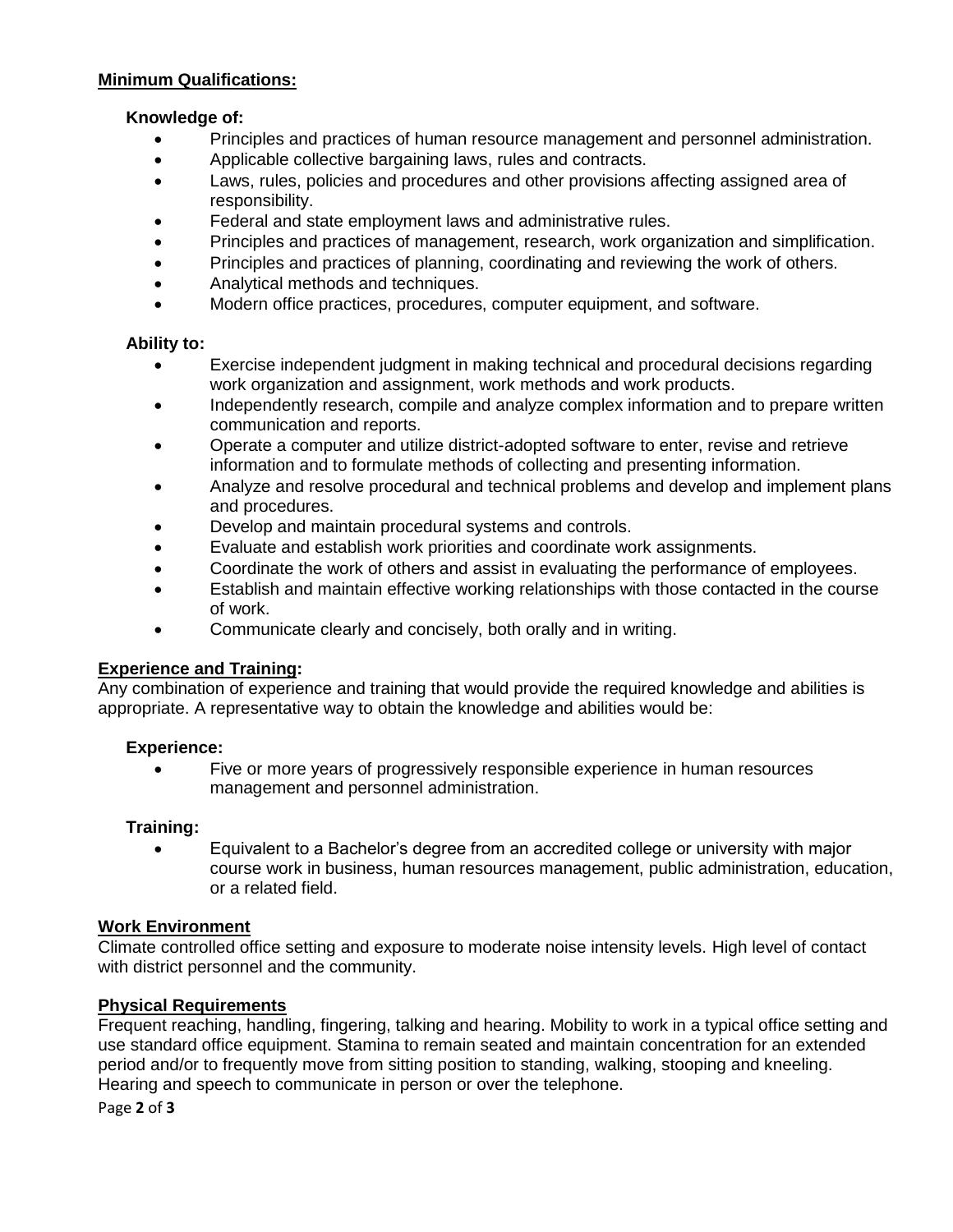#### **Minimum Qualifications:**

#### **Knowledge of:**

- Principles and practices of human resource management and personnel administration.
- Applicable collective bargaining laws, rules and contracts.
- Laws, rules, policies and procedures and other provisions affecting assigned area of responsibility.
- Federal and state employment laws and administrative rules.
- Principles and practices of management, research, work organization and simplification.
- Principles and practices of planning, coordinating and reviewing the work of others.
- Analytical methods and techniques.
- Modern office practices, procedures, computer equipment, and software.

#### **Ability to:**

- Exercise independent judgment in making technical and procedural decisions regarding work organization and assignment, work methods and work products.
- Independently research, compile and analyze complex information and to prepare written communication and reports.
- Operate a computer and utilize district-adopted software to enter, revise and retrieve information and to formulate methods of collecting and presenting information.
- Analyze and resolve procedural and technical problems and develop and implement plans and procedures.
- Develop and maintain procedural systems and controls.
- Evaluate and establish work priorities and coordinate work assignments.
- Coordinate the work of others and assist in evaluating the performance of employees.
- Establish and maintain effective working relationships with those contacted in the course of work.
- Communicate clearly and concisely, both orally and in writing.

### **Experience and Training:**

Any combination of experience and training that would provide the required knowledge and abilities is appropriate. A representative way to obtain the knowledge and abilities would be:

### **Experience:**

 Five or more years of progressively responsible experience in human resources management and personnel administration.

### **Training:**

 Equivalent to a Bachelor's degree from an accredited college or university with major course work in business, human resources management, public administration, education, or a related field.

### **Work Environment**

Climate controlled office setting and exposure to moderate noise intensity levels. High level of contact with district personnel and the community.

### **Physical Requirements**

Frequent reaching, handling, fingering, talking and hearing. Mobility to work in a typical office setting and use standard office equipment. Stamina to remain seated and maintain concentration for an extended period and/or to frequently move from sitting position to standing, walking, stooping and kneeling. Hearing and speech to communicate in person or over the telephone.

Page **2** of **3**